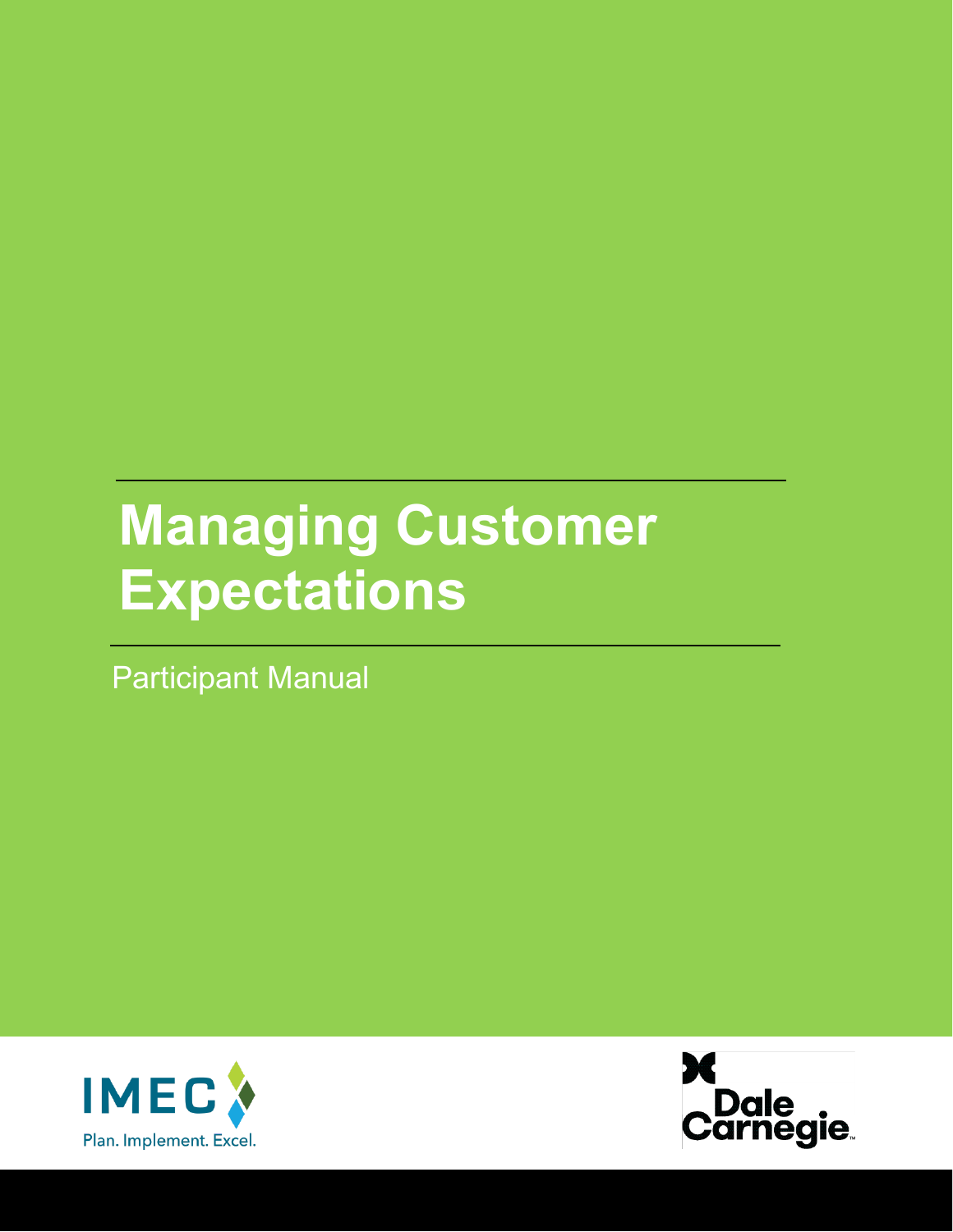# **Managing Customer Expectations**

Participant Manual



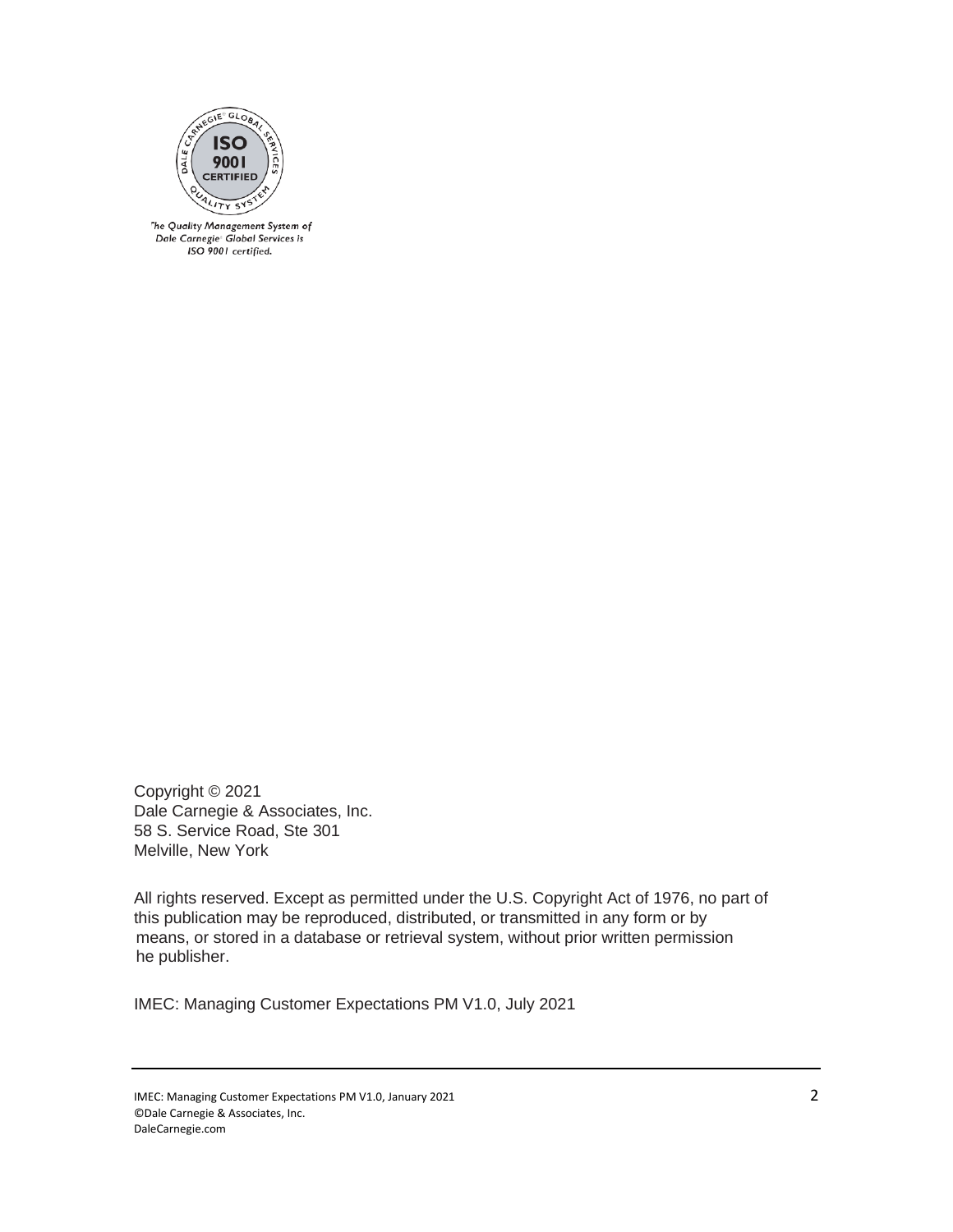

The Quality Management System of Dale Carnegie<sup>®</sup> Global Services is ISO 9001 certified.

Copyright © 2021 Dale Carnegie & Associates, Inc. 58 S. Service Road, Ste 301 Melville, New York

All rights reserved. Except as permitted under the U.S. Copyright Act of 1976, no part of this publication may be reproduced, distributed, or transmitted in any form or by means, or stored in a database or retrieval system, without prior written permission he publisher.

IMEC: Managing Customer Expectations PM V1.0, July 2021

IMEC: Managing Customer Expectations PM V1.0, January 2021 2 ©Dale Carnegie & Associates, Inc. DaleCarnegie.com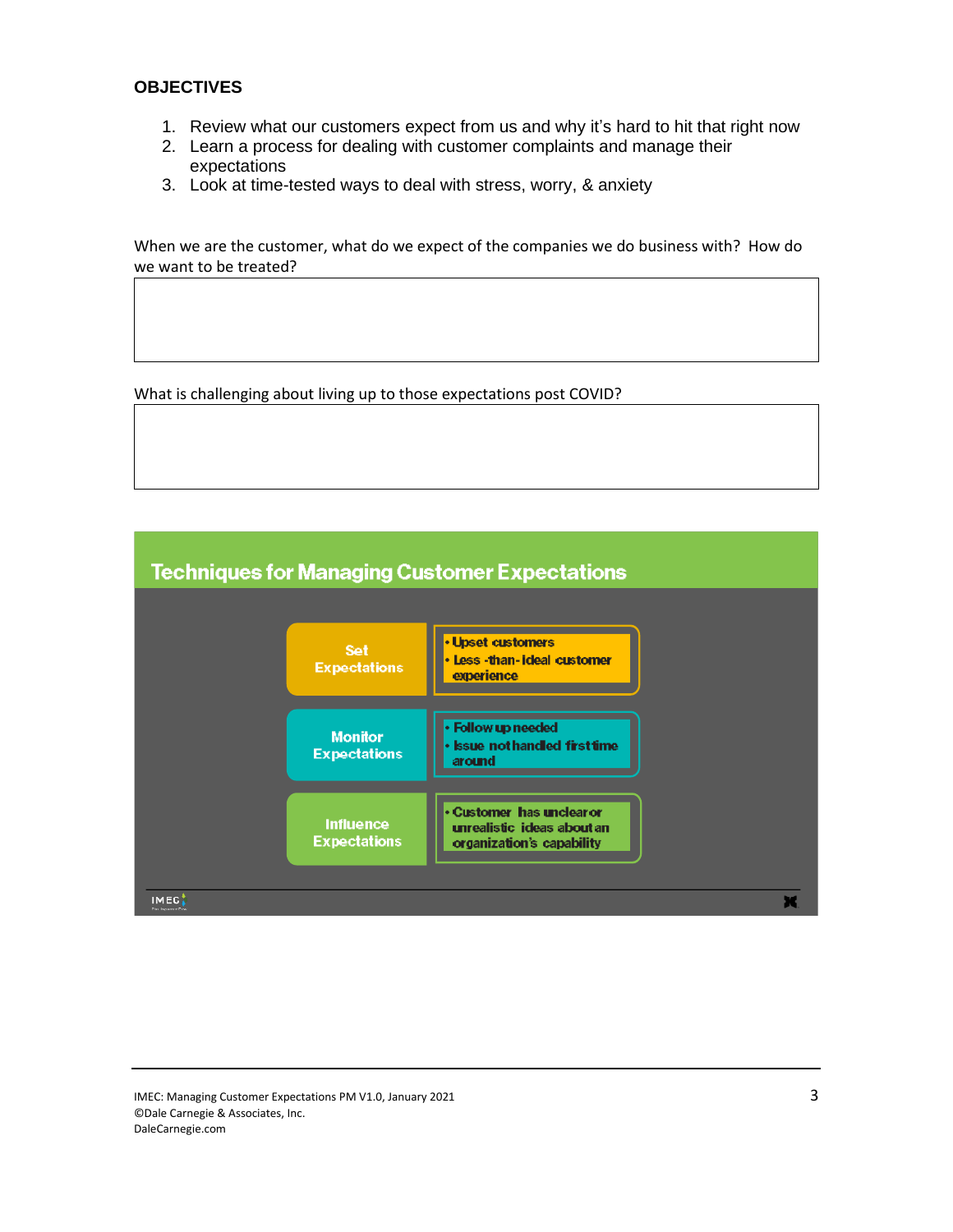# **OBJECTIVES**

- 1. Review what our customers expect from us and why it's hard to hit that right now
- 2. Learn a process for dealing with customer complaints and manage their expectations
- 3. Look at time-tested ways to deal with stress, worry, & anxiety

When we are the customer, what do we expect of the companies we do business with? How do we want to be treated?

What is challenging about living up to those expectations post COVID?



IMEC: Managing Customer Expectations PM V1.0, January 2021 3 ©Dale Carnegie & Associates, Inc. DaleCarnegie.com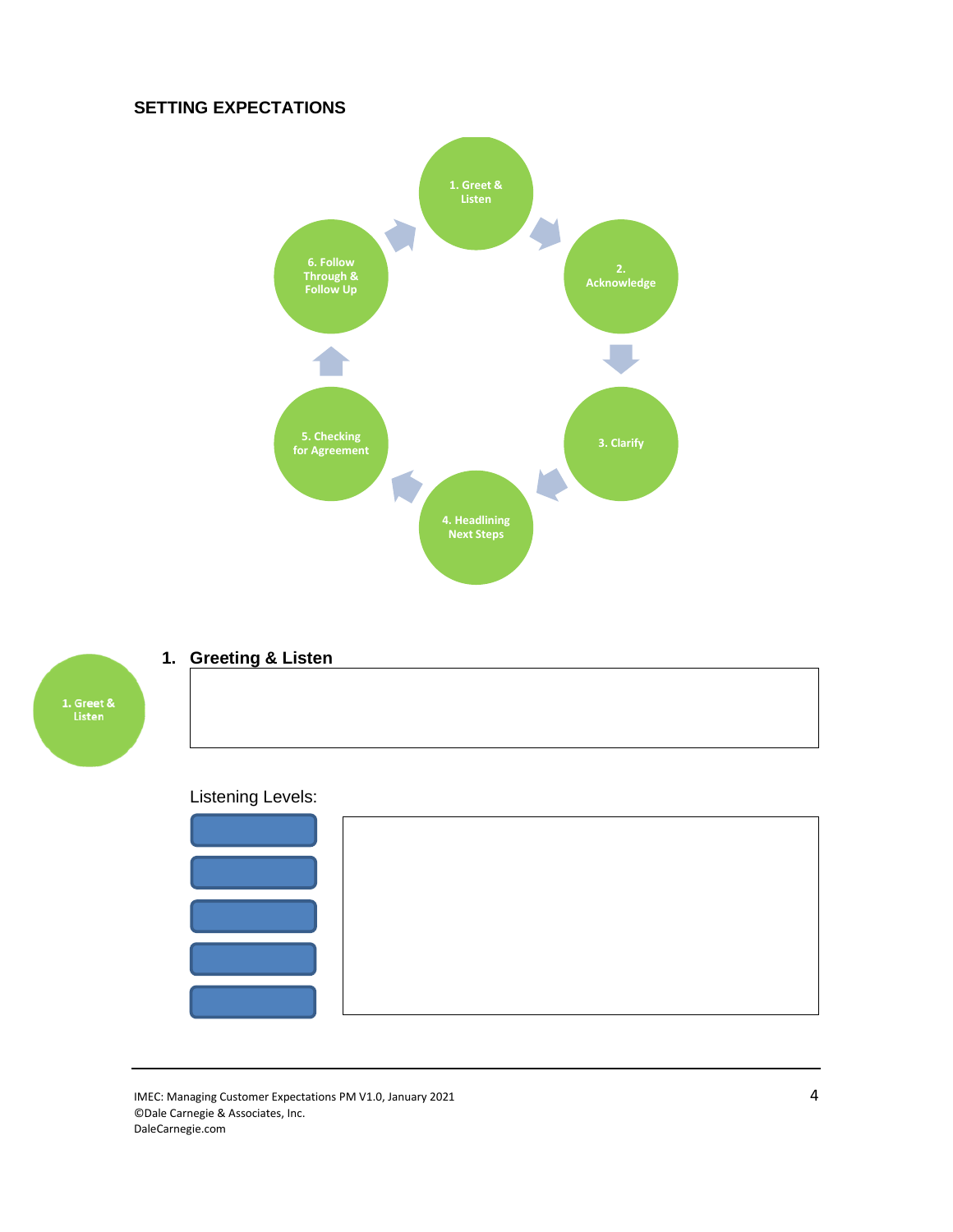# **SETTING EXPECTATIONS**





# **1. Greeting & Listen**

# Listening Levels:



IMEC: Managing Customer Expectations PM V1.0, January 2021 4 ©Dale Carnegie & Associates, Inc. DaleCarnegie.com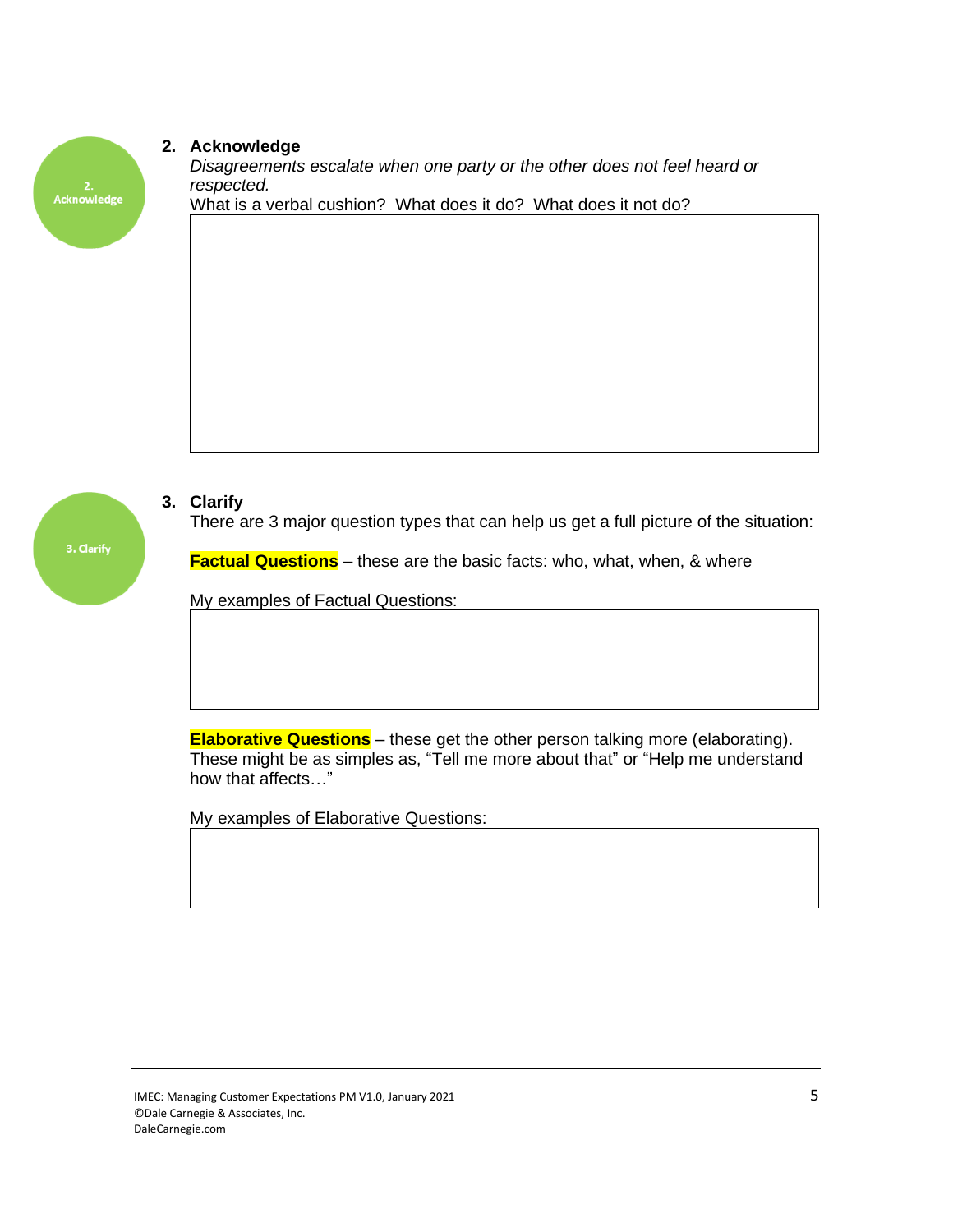# 2.<br>Acknowledge

### **2. Acknowledge**

*Disagreements escalate when one party or the other does not feel heard or respected.*

What is a verbal cushion? What does it do? What does it not do?



# **3. Clarify**

There are 3 major question types that can help us get a full picture of the situation:

**Factual Questions** – these are the basic facts: who, what, when, & where

My examples of Factual Questions:

**Elaborative Questions** – these get the other person talking more (elaborating). These might be as simples as, "Tell me more about that" or "Help me understand how that affects…"

My examples of Elaborative Questions: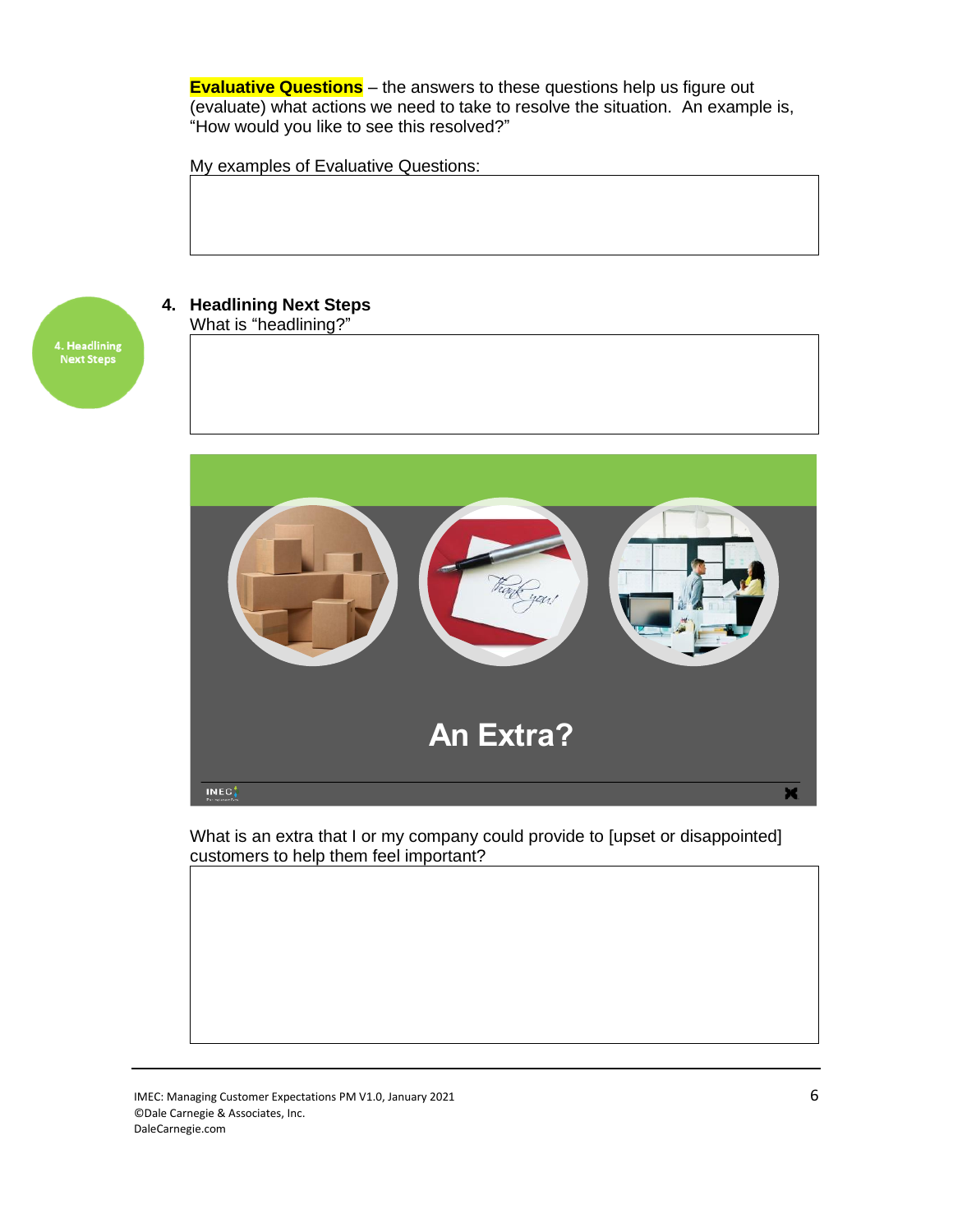**Evaluative Questions** – the answers to these questions help us figure out (evaluate) what actions we need to take to resolve the situation. An example is, "How would you like to see this resolved?"

My examples of Evaluative Questions:



**4. Headlining Next Steps** What is "headlining?"



What is an extra that I or my company could provide to [upset or disappointed] customers to help them feel important?

IMEC: Managing Customer Expectations PM V1.0, January 2021 6 ©Dale Carnegie & Associates, Inc. DaleCarnegie.com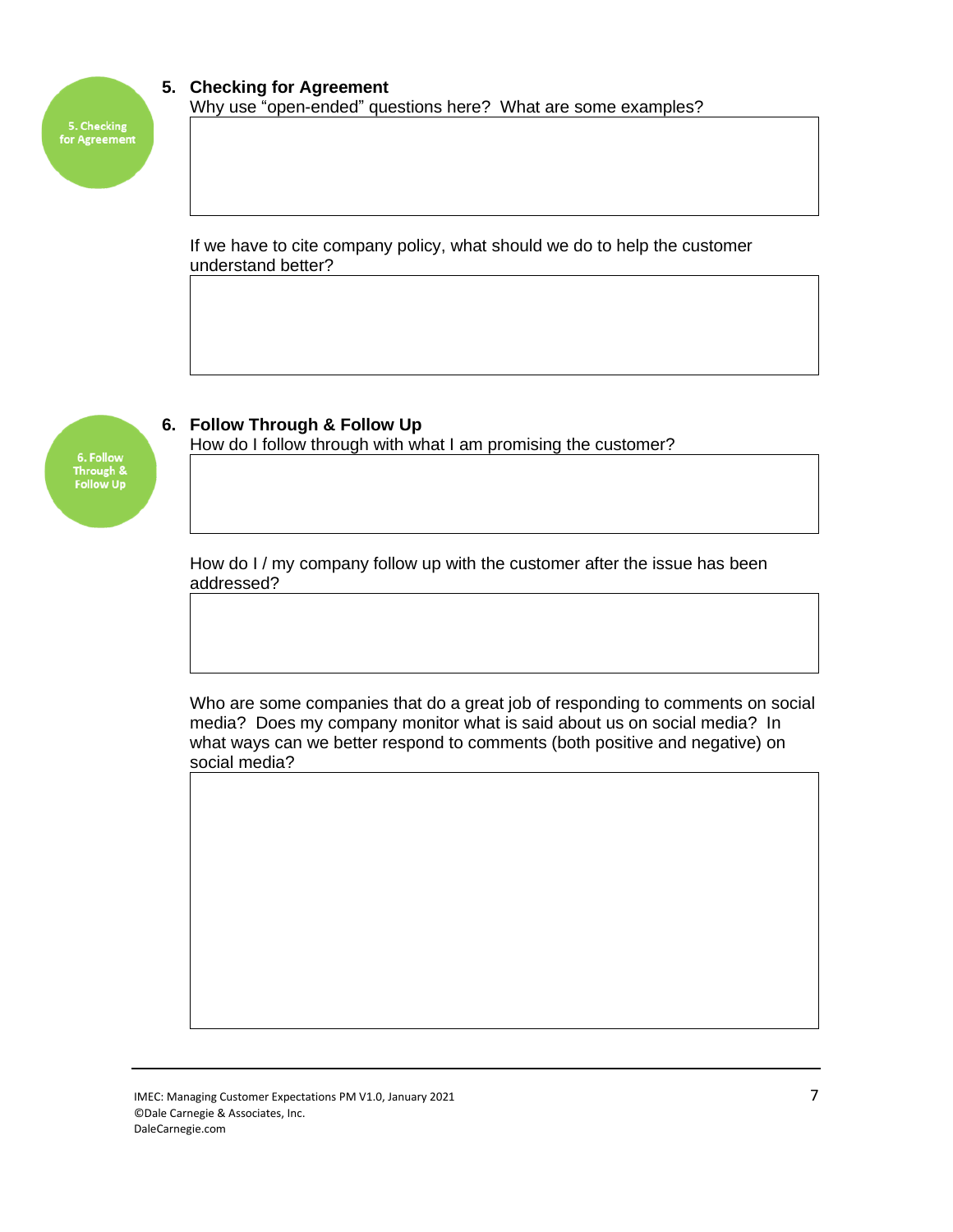

Through &<br>Follow Up

# **5. Checking for Agreement** Why use "open-ended" questions here? What are some examples?

If we have to cite company policy, what should we do to help the customer understand better?

# **6. Follow Through & Follow Up**

How do I follow through with what I am promising the customer?

How do I / my company follow up with the customer after the issue has been addressed?

Who are some companies that do a great job of responding to comments on social media? Does my company monitor what is said about us on social media? In what ways can we better respond to comments (both positive and negative) on social media?

IMEC: Managing Customer Expectations PM V1.0, January 2021 **7** ©Dale Carnegie & Associates, Inc. DaleCarnegie.com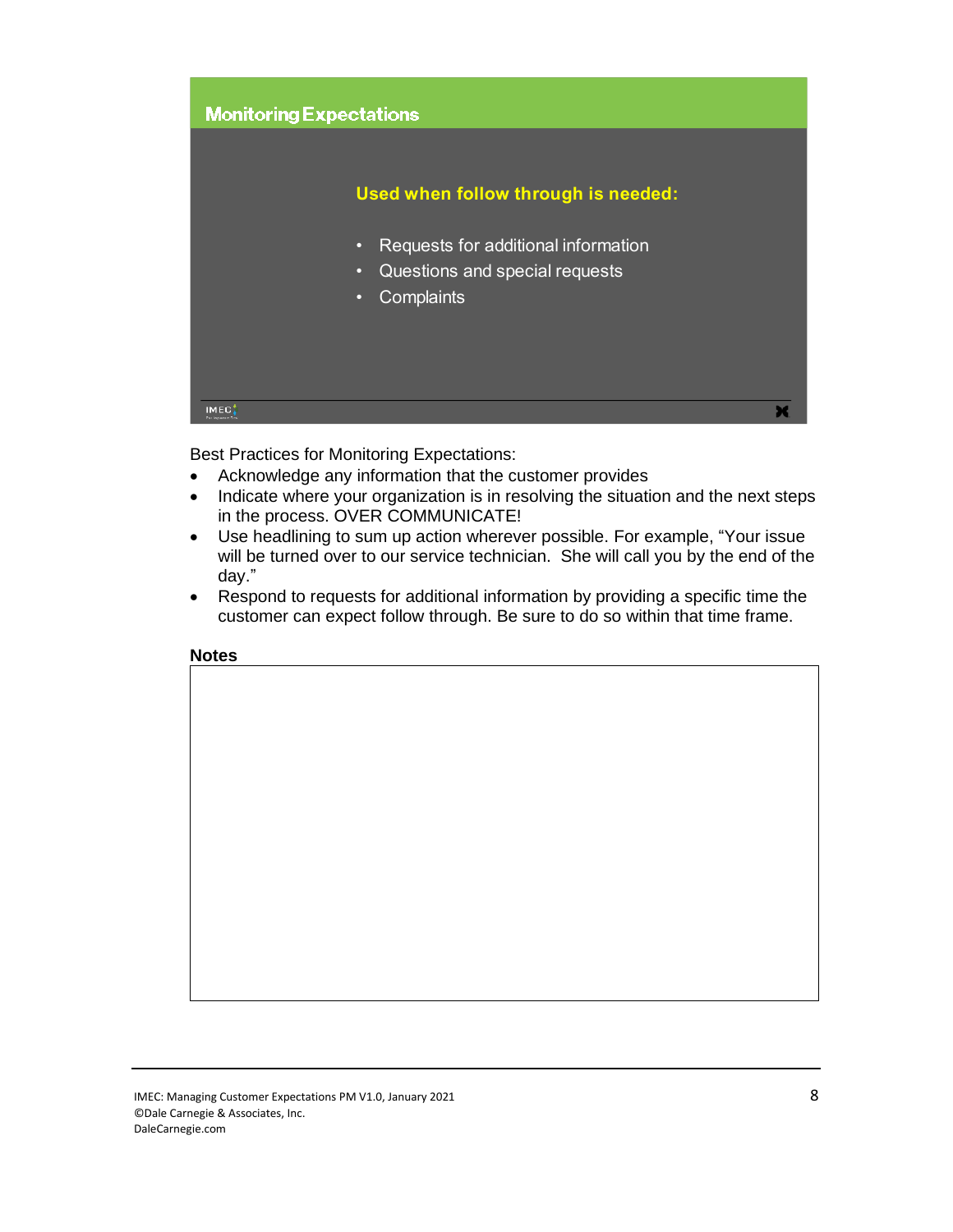

Best Practices for Monitoring Expectations:

- Acknowledge any information that the customer provides
- Indicate where your organization is in resolving the situation and the next steps in the process. OVER COMMUNICATE!
- Use headlining to sum up action wherever possible. For example, "Your issue will be turned over to our service technician. She will call you by the end of the day."
- Respond to requests for additional information by providing a specific time the customer can expect follow through. Be sure to do so within that time frame.

#### **Notes**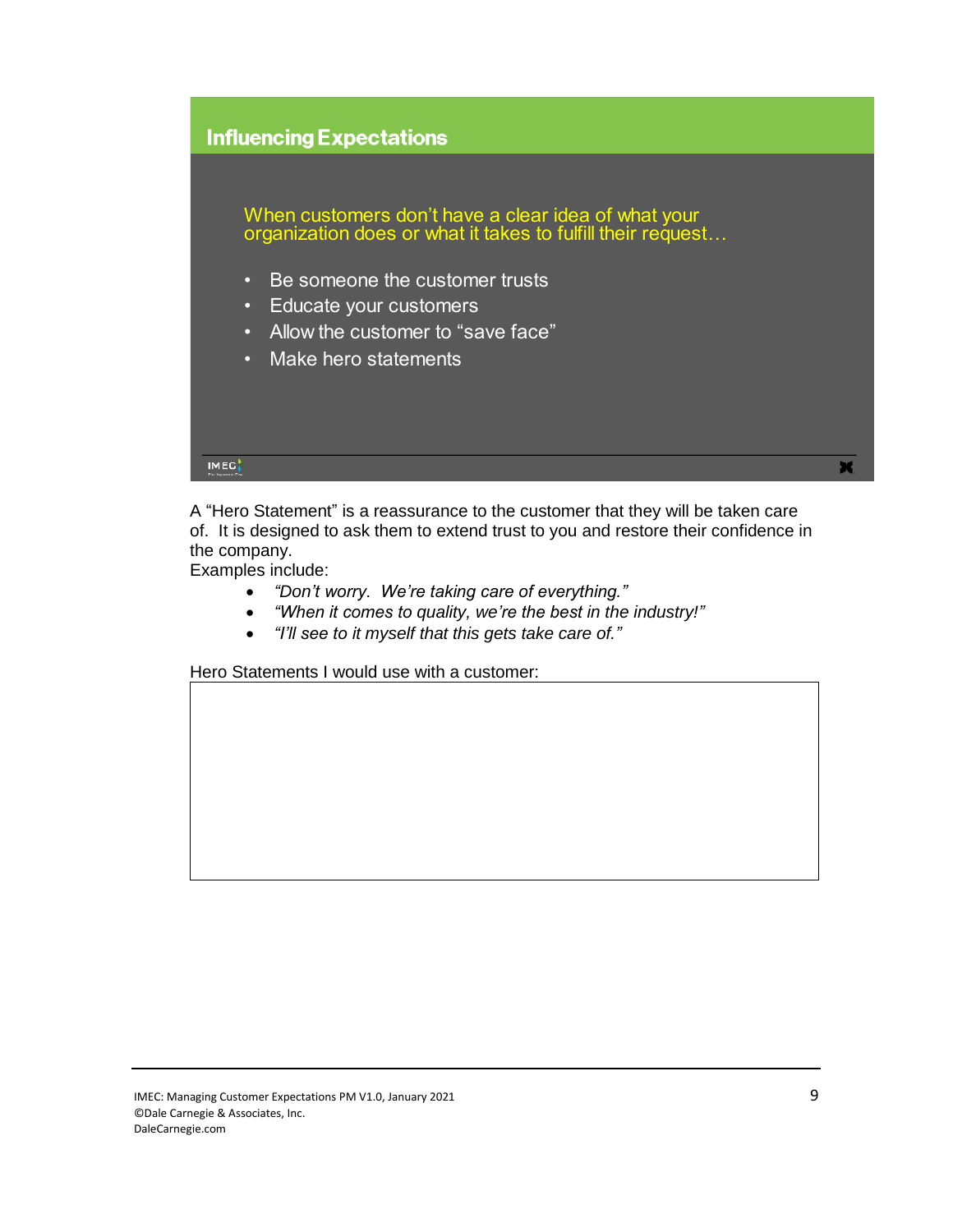# **Influencing Expectations**

When customers don't have a clear idea of what vour organization does or what it takes to fulfill their request…

- Be someone the customer trusts
- Educate your customers
- Allow the customer to "save face"
- Make hero statements



A "Hero Statement" is a reassurance to the customer that they will be taken care of. It is designed to ask them to extend trust to you and restore their confidence in the company.

Examples include:

- *"Don't worry. We're taking care of everything."*
- *"When it comes to quality, we're the best in the industry!"*
- *"I'll see to it myself that this gets take care of."*

Hero Statements I would use with a customer: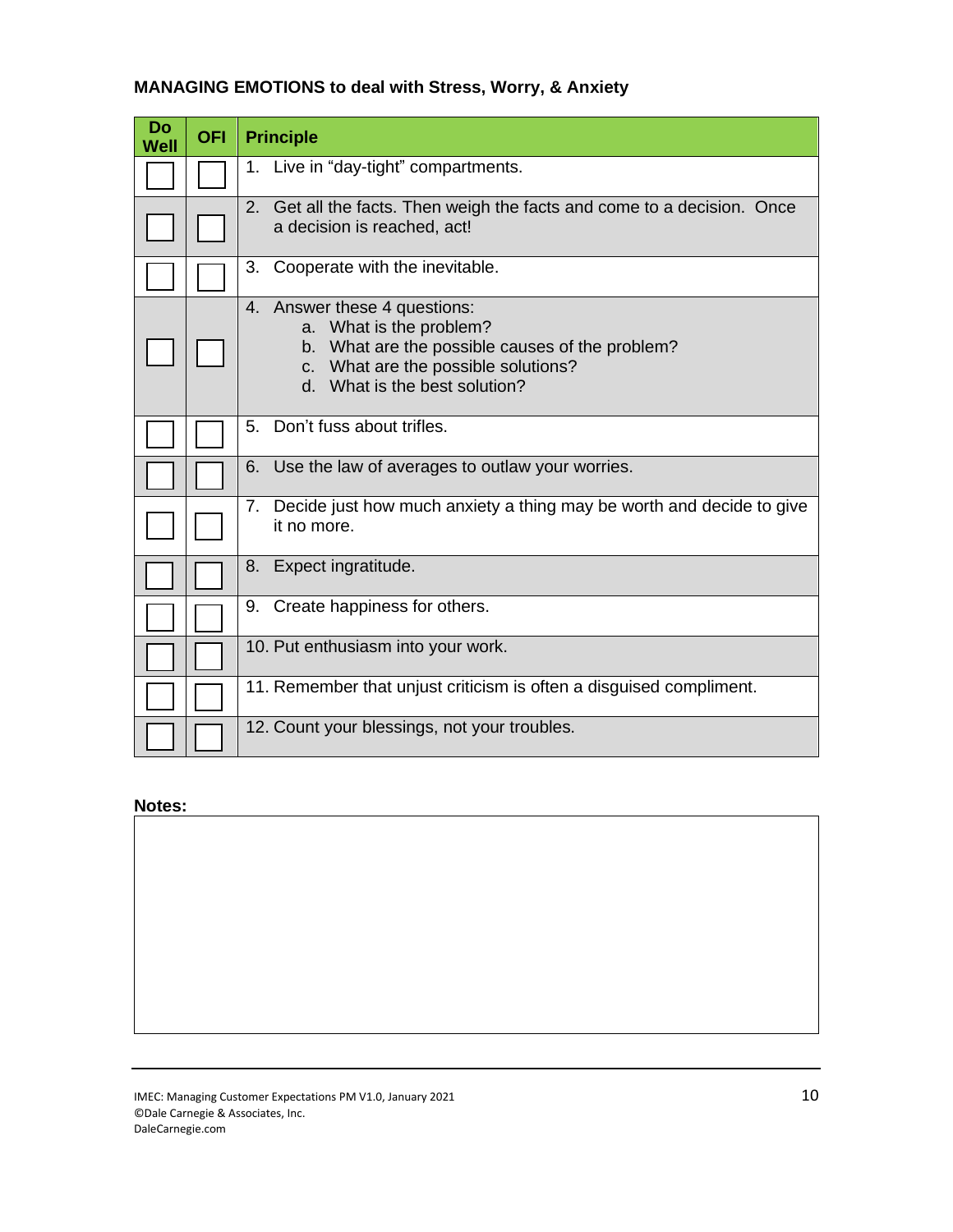# **MANAGING EMOTIONS to deal with Stress, Worry, & Anxiety**

| Do<br>Well | <b>OFI</b> | <b>Principle</b>                                                                                                                                                                   |
|------------|------------|------------------------------------------------------------------------------------------------------------------------------------------------------------------------------------|
|            |            | 1. Live in "day-tight" compartments.                                                                                                                                               |
|            |            | 2. Get all the facts. Then weigh the facts and come to a decision. Once<br>a decision is reached, act!                                                                             |
|            |            | 3. Cooperate with the inevitable.                                                                                                                                                  |
|            |            | 4. Answer these 4 questions:<br>a. What is the problem?<br>b. What are the possible causes of the problem?<br>c. What are the possible solutions?<br>d. What is the best solution? |
|            |            | 5. Don't fuss about trifles.                                                                                                                                                       |
|            |            | Use the law of averages to outlaw your worries.<br>6.                                                                                                                              |
|            |            | 7. Decide just how much anxiety a thing may be worth and decide to give<br>it no more.                                                                                             |
|            |            | 8. Expect ingratitude.                                                                                                                                                             |
|            |            | 9. Create happiness for others.                                                                                                                                                    |
|            |            | 10. Put enthusiasm into your work.                                                                                                                                                 |
|            |            | 11. Remember that unjust criticism is often a disguised compliment.                                                                                                                |
|            |            | 12. Count your blessings, not your troubles.                                                                                                                                       |

# **Notes:**